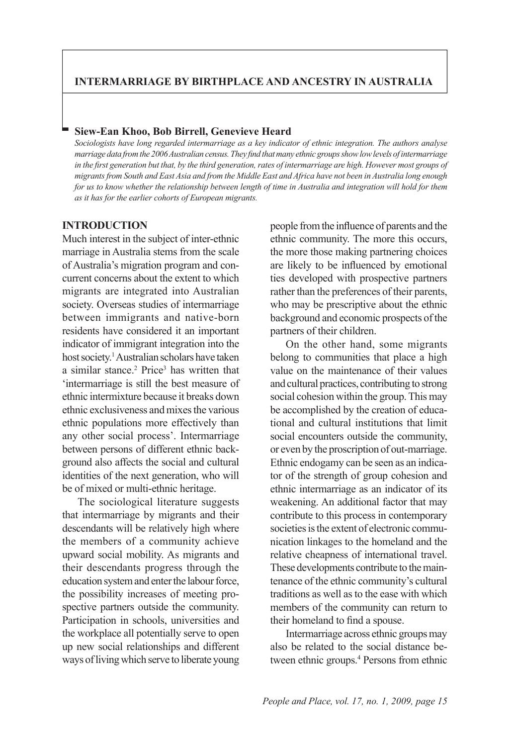## **INTERMARRIAGE BY BIRTHPLACE AND ANCESTRY IN AUSTRALIA**

## **Siew-Ean Khoo, Bob Birrell, Genevieve Heard**

*Sociologists have long regarded intermarriage as a key indicator of ethnic integration. The authors analyse PDUULD BUILD At a PDUULD VIII PDUULD Magnetic <i>PDUG III (PDU) At a proper show low levels of intermarriage* in the first generation but that, by the third generation, rates of intermarriage are high. However most groups of *Pugrants from South and East Asia and from the Middle East and Africa have not been in Australia long enough for us to know whether the relationship between length of time in Australia and integration will hold for them as it has for the earlier cohorts of European migrants.*

## **INTRODUCTION**

Much interest in the subject of inter-ethnic marriage in Australia stems from the scale of Australia's migration program and concurrent concerns about the extent to which migrants are integrated into Australian society. Overseas studies of intermarriage between immigrants and native-born residents have considered it an important indicator of immigrant integration into the host society.<sup>1</sup> Australian scholars have taken a similar stance.<sup>2</sup> Price<sup>3</sup> has written that 'intermarriage is still the best measure of ethnic intermixture because it breaks down ethnic exclusiveness and mixes the various ethnic populations more effectively than any other social process'. Intermarriage between persons of different ethnic background also affects the social and cultural identities of the next generation, who will be of mixed or multi-ethnic heritage.

The sociological literature suggests that intermarriage by migrants and their descendants will be relatively high where the members of a community achieve upward social mobility. As migrants and their descendants progress through the education system and enter the labour force, the possibility increases of meeting prospective partners outside the community. Participation in schools, universities and the workplace all potentially serve to open up new social relationships and different ways of living which serve to liberate young people from the influence of parents and the ethnic community. The more this occurs, the more those making partnering choices are likely to be influenced by emotional ties developed with prospective partners rather than the preferences of their parents, who may be prescriptive about the ethnic background and economic prospects of the partners of their children.

On the other hand, some migrants belong to communities that place a high value on the maintenance of their values and cultural practices, contributing to strong social cohesion within the group. This may be accomplished by the creation of educational and cultural institutions that limit social encounters outside the community, or even by the proscription of out-marriage. Ethnic endogamy can be seen as an indicator of the strength of group cohesion and ethnic intermarriage as an indicator of its weakening. An additional factor that may contribute to this process in contemporary societies is the extent of electronic communication linkages to the homeland and the relative cheapness of international travel. These developments contribute to the maintenance of the ethnic community's cultural traditions as well as to the ease with which members of the community can return to their homeland to find a spouse.

Intermarriage across ethnic groups may also be related to the social distance between ethnic groups.<sup>4</sup> Persons from ethnic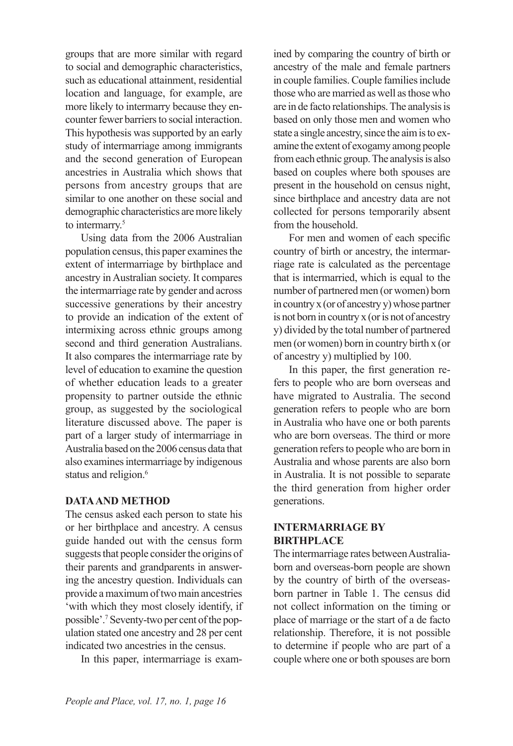groups that are more similar with regard to social and demographic characteristics, such as educational attainment, residential location and language, for example, are more likely to intermarry because they encounter fewer barriers to social interaction. This hypothesis was supported by an early study of intermarriage among immigrants and the second generation of European ancestries in Australia which shows that persons from ancestry groups that are similar to one another on these social and demographic characteristics are more likely to intermarry.<sup>5</sup>

Using data from the 2006 Australian population census, this paper examines the extent of intermarriage by birthplace and ancestry in Australian society. It compares the intermarriage rate by gender and across successive generations by their ancestry to provide an indication of the extent of intermixing across ethnic groups among second and third generation Australians. It also compares the intermarriage rate by level of education to examine the question of whether education leads to a greater propensity to partner outside the ethnic group, as suggested by the sociological literature discussed above. The paper is part of a larger study of intermarriage in Australia based on the 2006 census data that also examines intermarriage by indigenous status and religion.<sup>6</sup>

## **DATA AND METHOD**

The census asked each person to state his or her birthplace and ancestry. A census guide handed out with the census form suggests that people consider the origins of their parents and grandparents in answering the ancestry question. Individuals can provide a maximum of two main ancestries 'with which they most closely identify, if possible'.7 Seventy-two per cent of the population stated one ancestry and 28 per cent indicated two ancestries in the census.

In this paper, intermarriage is exam-

ined by comparing the country of birth or ancestry of the male and female partners in couple families. Couple families include those who are married as well as those who are in de facto relationships. The analysis is based on only those men and women who state a single ancestry, since the aim is to examine the extent of exogamy among people from each ethnic group. The analysis is also based on couples where both spouses are present in the household on census night, since birthplace and ancestry data are not collected for persons temporarily absent from the household.

For men and women of each specific country of birth or ancestry, the intermarriage rate is calculated as the percentage that is intermarried, which is equal to the number of partnered men (or women) born in country x (or of ancestry y) whose partner is not born in country x (or is not of ancestry y) divided by the total number of partnered men (or women) born in country birth x (or of ancestry y) multiplied by 100.

In this paper, the first generation refers to people who are born overseas and have migrated to Australia. The second generation refers to people who are born in Australia who have one or both parents who are born overseas. The third or more generation refers to people who are born in Australia and whose parents are also born in Australia. It is not possible to separate the third generation from higher order generations.

## **INTERMARRIAGE BY BIRTHPLACE**

The intermarriage rates between Australiaborn and overseas-born people are shown by the country of birth of the overseasborn partner in Table 1. The census did not collect information on the timing or place of marriage or the start of a de facto relationship. Therefore, it is not possible to determine if people who are part of a couple where one or both spouses are born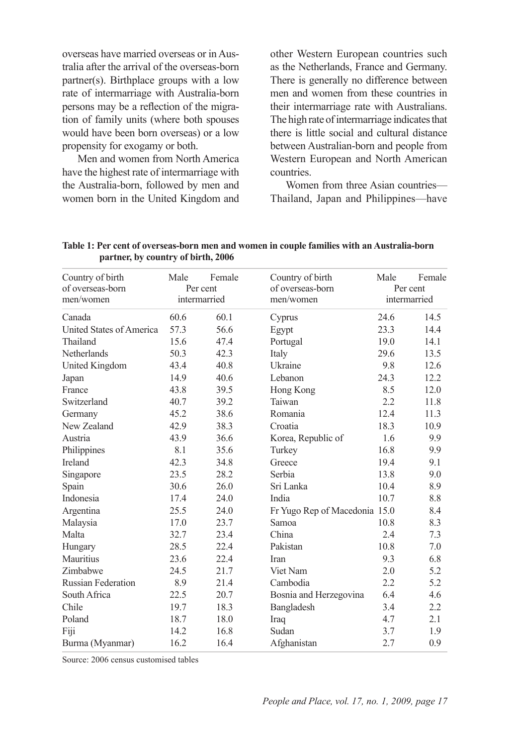overseas have married overseas or in Australia after the arrival of the overseas-born partner(s). Birthplace groups with a low rate of intermarriage with Australia-born persons may be a reflection of the migration of family units (where both spouses would have been born overseas) or a low propensity for exogamy or both.

Men and women from North America have the highest rate of intermarriage with the Australia-born, followed by men and women born in the United Kingdom and other Western European countries such as the Netherlands, France and Germany. There is generally no difference between men and women from these countries in their intermarriage rate with Australians. The high rate of intermarriage indicates that there is little social and cultural distance between Australian-born and people from Western European and North American countries.

Women from three Asian countries— Thailand, Japan and Philippines—have

| Country of birth              | Country of birth<br>Male<br>Female<br>Per cent |              |                               | Male                     | Female |  |
|-------------------------------|------------------------------------------------|--------------|-------------------------------|--------------------------|--------|--|
| of overseas-born<br>men/women |                                                | intermarried | of overseas-born<br>men/women | Per cent<br>intermarried |        |  |
|                               |                                                |              |                               |                          |        |  |
| Canada                        | 60.6                                           | 60.1         | Cyprus                        | 24.6                     | 14.5   |  |
| United States of America      | 57.3                                           | 56.6         | Egypt                         | 23.3                     | 14.4   |  |
| Thailand                      | 15.6                                           | 47.4         | Portugal                      | 19.0                     | 14.1   |  |
| Netherlands                   | 50.3                                           | 42.3         | Italy                         | 29.6                     | 13.5   |  |
| United Kingdom                | 43.4                                           | 40.8         | Ukraine                       | 9.8                      | 12.6   |  |
| Japan                         | 14.9                                           | 40.6         | Lebanon                       | 24.3                     | 12.2   |  |
| France                        | 43.8                                           | 39.5         | Hong Kong                     | 8.5                      | 12.0   |  |
| Switzerland                   | 40.7                                           | 39.2         | Taiwan                        | 2.2                      | 11.8   |  |
| Germany                       | 45.2                                           | 38.6         | Romania                       | 12.4                     | 11.3   |  |
| New Zealand                   | 42.9                                           | 38.3         | Croatia                       | 18.3                     | 10.9   |  |
| Austria                       | 43.9                                           | 36.6         | Korea, Republic of            | 1.6                      | 9.9    |  |
| Philippines                   | 8.1                                            | 35.6         | Turkey                        | 16.8                     | 9.9    |  |
| Ireland                       | 42.3                                           | 34.8         | Greece                        | 19.4                     | 9.1    |  |
| Singapore                     | 23.5                                           | 28.2         | Serbia                        | 13.8                     | 9.0    |  |
| Spain                         | 30.6                                           | 26.0         | Sri Lanka                     | 10.4                     | 8.9    |  |
| Indonesia                     | 17.4                                           | 24.0         | India                         | 10.7                     | 8.8    |  |
| Argentina                     | 25.5                                           | 24.0         | Fr Yugo Rep of Macedonia 15.0 |                          | 8.4    |  |
| Malaysia                      | 17.0                                           | 23.7         | Samoa                         | 10.8                     | 8.3    |  |
| Malta                         | 32.7                                           | 23.4         | China                         | 2.4                      | 7.3    |  |
| Hungary                       | 28.5                                           | 22.4         | Pakistan                      | 10.8                     | 7.0    |  |
| Mauritius                     | 23.6                                           | 22.4         | <b>Iran</b>                   | 9.3                      | 6.8    |  |
| Zimbabwe                      | 24.5                                           | 21.7         | Viet Nam                      | 2.0                      | 5.2    |  |
| <b>Russian Federation</b>     | 8.9                                            | 21.4         | Cambodia                      | 2.2                      | 5.2    |  |
| South Africa                  | 22.5                                           | 20.7         | Bosnia and Herzegovina        | 6.4                      | 4.6    |  |
| Chile                         | 19.7                                           | 18.3         | Bangladesh                    | 3.4                      | 2.2    |  |
| Poland                        | 18.7                                           | 18.0         | Iraq                          | 4.7                      | 2.1    |  |
| Fiji                          | 14.2                                           | 16.8         | Sudan                         | 3.7                      | 1.9    |  |
| Burma (Myanmar)               | 16.2                                           | 16.4         | Afghanistan                   | 2.7                      | 0.9    |  |

**Table 1: Per cent of overseas-born men and women in couple families with an Australia-born partner, by country of birth, 2006**

Source: 2006 census customised tables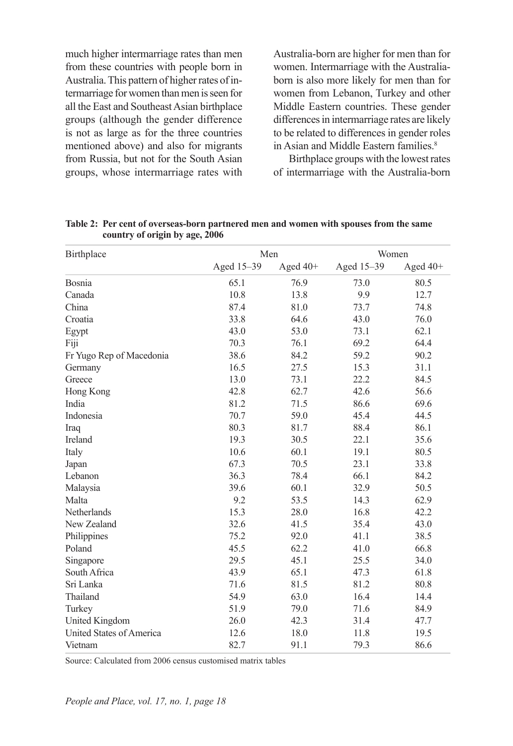much higher intermarriage rates than men from these countries with people born in Australia. This pattern of higher rates of intermarriage for women than men is seen for all the East and Southeast Asian birthplace groups (although the gender difference is not as large as for the three countries mentioned above) and also for migrants from Russia, but not for the South Asian groups, whose intermarriage rates with Australia-born are higher for men than for women. Intermarriage with the Australiaborn is also more likely for men than for women from Lebanon, Turkey and other Middle Eastern countries. These gender differences in intermarriage rates are likely to be related to differences in gender roles in Asian and Middle Eastern families<sup>8</sup>

Birthplace groups with the lowest rates of intermarriage with the Australia-born

| Birthplace               | Men        |          | Women      |            |  |
|--------------------------|------------|----------|------------|------------|--|
|                          | Aged 15-39 | Aged 40+ | Aged 15-39 | Aged $40+$ |  |
| Bosnia                   | 65.1       | 76.9     | 73.0       | 80.5       |  |
| Canada                   | 10.8       | 13.8     | 9.9        | 12.7       |  |
| China                    | 87.4       | 81.0     | 73.7       | 74.8       |  |
| Croatia                  | 33.8       | 64.6     | 43.0       | 76.0       |  |
| Egypt                    | 43.0       | 53.0     | 73.1       | 62.1       |  |
| Fiji                     | 70.3       | 76.1     | 69.2       | 64.4       |  |
| Fr Yugo Rep of Macedonia | 38.6       | 84.2     | 59.2       | 90.2       |  |
| Germany                  | 16.5       | 27.5     | 15.3       | 31.1       |  |
| Greece                   | 13.0       | 73.1     | 22.2       | 84.5       |  |
| Hong Kong                | 42.8       | 62.7     | 42.6       | 56.6       |  |
| India                    | 81.2       | 71.5     | 86.6       | 69.6       |  |
| Indonesia                | 70.7       | 59.0     | 45.4       | 44.5       |  |
| Iraq                     | 80.3       | 81.7     | 88.4       | 86.1       |  |
| Ireland                  | 19.3       | 30.5     | 22.1       | 35.6       |  |
| Italy                    | 10.6       | 60.1     | 19.1       | 80.5       |  |
| Japan                    | 67.3       | 70.5     | 23.1       | 33.8       |  |
| Lebanon                  | 36.3       | 78.4     | 66.1       | 84.2       |  |
| Malaysia                 | 39.6       | 60.1     | 32.9       | 50.5       |  |
| Malta                    | 9.2        | 53.5     | 14.3       | 62.9       |  |
| Netherlands              | 15.3       | 28.0     | 16.8       | 42.2       |  |
| New Zealand              | 32.6       | 41.5     | 35.4       | 43.0       |  |
| Philippines              | 75.2       | 92.0     | 41.1       | 38.5       |  |
| Poland                   | 45.5       | 62.2     | 41.0       | 66.8       |  |
| Singapore                | 29.5       | 45.1     | 25.5       | 34.0       |  |
| South Africa             | 43.9       | 65.1     | 47.3       | 61.8       |  |
| Sri Lanka                | 71.6       | 81.5     | 81.2       | 80.8       |  |
| Thailand                 | 54.9       | 63.0     | 16.4       | 14.4       |  |
| Turkey                   | 51.9       | 79.0     | 71.6       | 84.9       |  |
| United Kingdom           | 26.0       | 42.3     | 31.4       | 47.7       |  |
| United States of America | 12.6       | 18.0     | 11.8       | 19.5       |  |
| Vietnam                  | 82.7       | 91.1     | 79.3       | 86.6       |  |

**Table 2: Per cent of overseas-born partnered men and women with spouses from the same country of origin by age, 2006**

Source: Calculated from 2006 census customised matrix tables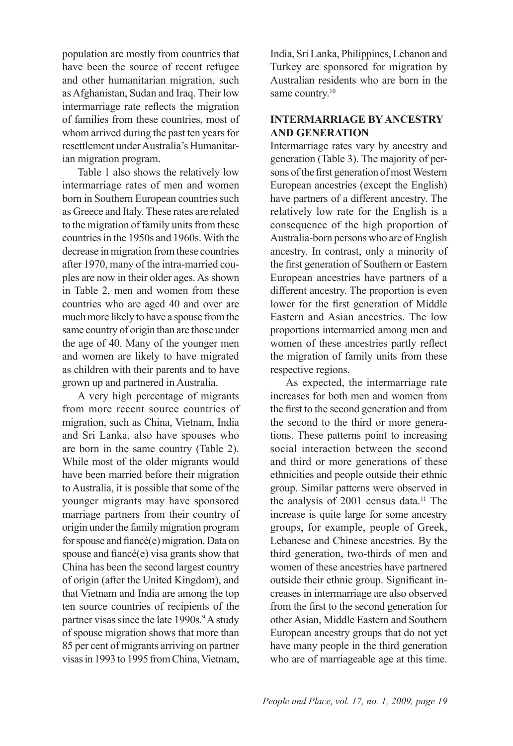population are mostly from countries that have been the source of recent refugee and other humanitarian migration, such as Afghanistan, Sudan and Iraq. Their low intermarriage rate reflects the migration of families from these countries, most of whom arrived during the past ten years for resettlement under Australia's Humanitarian migration program.

Table 1 also shows the relatively low intermarriage rates of men and women born in Southern European countries such as Greece and Italy. These rates are related to the migration of family units from these countries in the 1950s and 1960s. With the decrease in migration from these countries after 1970, many of the intra-married couples are now in their older ages. As shown in Table 2, men and women from these countries who are aged 40 and over are much more likely to have a spouse from the same country of origin than are those under the age of 40. Many of the younger men and women are likely to have migrated as children with their parents and to have grown up and partnered in Australia.

A very high percentage of migrants from more recent source countries of migration, such as China, Vietnam, India and Sri Lanka, also have spouses who are born in the same country (Table 2). While most of the older migrants would have been married before their migration to Australia, it is possible that some of the younger migrants may have sponsored marriage partners from their country of origin under the family migration program for spouse and fiancé(e) migration. Data on spouse and fiancé(e) visa grants show that China has been the second largest country of origin (after the United Kingdom), and that Vietnam and India are among the top ten source countries of recipients of the partner visas since the late 1990s.<sup>9</sup> A study of spouse migration shows that more than 85 per cent of migrants arriving on partner visas in 1993 to 1995 from China, Vietnam,

India, Sri Lanka, Philippines, Lebanon and Turkey are sponsored for migration by Australian residents who are born in the same country.<sup>10</sup>

# **INTERMARRIAGE BY ANCESTRY AND GENERATION**

Intermarriage rates vary by ancestry and generation (Table 3). The majority of persons of the first generation of most Western European ancestries (except the English) have partners of a different ancestry. The relatively low rate for the English is a consequence of the high proportion of Australia-born persons who are of English ancestry. In contrast, only a minority of the first generation of Southern or Eastern European ancestries have partners of a different ancestry. The proportion is even lower for the first generation of Middle Eastern and Asian ancestries. The low proportions intermarried among men and women of these ancestries partly reflect the migration of family units from these respective regions.

As expected, the intermarriage rate increases for both men and women from the first to the second generation and from the second to the third or more generations. These patterns point to increasing social interaction between the second and third or more generations of these ethnicities and people outside their ethnic group. Similar patterns were observed in the analysis of  $2001$  census data.<sup>11</sup> The increase is quite large for some ancestry groups, for example, people of Greek, Lebanese and Chinese ancestries. By the third generation, two-thirds of men and women of these ancestries have partnered outside their ethnic group. Significant increases in intermarriage are also observed from the first to the second generation for other Asian, Middle Eastern and Southern European ancestry groups that do not yet have many people in the third generation who are of marriageable age at this time.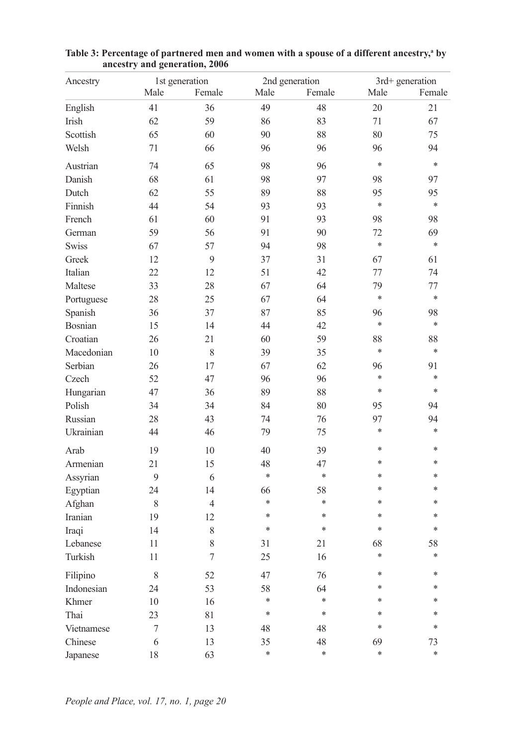| Ancestry              |                  | 1st generation   |        | 2nd generation |              | 3rd+ generation |  |  |
|-----------------------|------------------|------------------|--------|----------------|--------------|-----------------|--|--|
|                       | Male             | Female           | Male   | Female         | Male         | Female          |  |  |
| English               | 41               | 36               | 49     | 48             | 20           | 21              |  |  |
| Irish                 | 62               | 59               | 86     | 83             | 71           | 67              |  |  |
| Scottish              | 65               | 60               | 90     | 88             | 80           | 75              |  |  |
| Welsh                 | 71               | 66               | 96     | 96             | 96           | 94              |  |  |
| Austrian              | 74               | 65               | 98     | 96             | $\ast$       | $\ast$          |  |  |
| Danish                | 68               | 61               | 98     | 97             | 98           | 97              |  |  |
| Dutch                 | 62               | 55               | 89     | 88             | 95           | 95              |  |  |
| Finnish               | 44               | 54               | 93     | 93             | *            | $\ast$          |  |  |
| French                | 61               | 60               | 91     | 93             | 98           | 98              |  |  |
| German                | 59               | 56               | 91     | 90             | 72           | 69              |  |  |
| <b>Swiss</b>          | 67               | 57               | 94     | 98             | $\ast$       | $\ast$          |  |  |
| Greek                 | 12               | 9                | 37     | 31             | 67           | 61              |  |  |
| Italian               | 22               | 12               | 51     | 42             | 77           | 74              |  |  |
| Maltese               | 33               | 28               | 67     | 64             | 79           | 77              |  |  |
| Portuguese            | 28               | 25               | 67     | 64             | *            | $\ast$          |  |  |
| Spanish               | 36               | 37               | 87     | 85             | 96           | 98              |  |  |
| Bosnian               | 15               | 14               | 44     | 42             | *            | $\ast$          |  |  |
| Croatian              | 26               | 21               | 60     | 59             | 88           | 88              |  |  |
|                       | 10               | 8                |        |                | *            | $\ast$          |  |  |
| Macedonian<br>Serbian |                  |                  | 39     | 35<br>62       |              | 91              |  |  |
|                       | 26<br>52         | 17               | 67     | 96             | 96<br>$\ast$ | $\ast$          |  |  |
| Czech                 |                  | 47               | 96     |                | $\ast$       | $\ast$          |  |  |
| Hungarian             | 47               | 36               | 89     | 88             |              |                 |  |  |
| Polish                | 34               | 34               | 84     | 80             | 95           | 94              |  |  |
| Russian               | 28               | 43               | 74     | 76             | 97           | 94              |  |  |
| Ukrainian             | 44               | 46               | 79     | 75             | *            | *               |  |  |
| Arab                  | 19               | 10               | 40     | 39             | *            | *               |  |  |
| Armenian              | 21               | 15               | 48     | 47             | *            | *               |  |  |
| Assyrian              | 9                | 6                | *      | $\ast$         | *            | *               |  |  |
| Egyptian              | 24               | 14               | 66     | 58             | *            | *               |  |  |
| Afghan                | $\,$ 8 $\,$      | $\overline{4}$   | $\ast$ | $\ast$         | *            | *               |  |  |
| Iranian               | 19               | 12               | $\ast$ | $\ast$         | *            | *               |  |  |
| Iraqi                 | 14               | $\,$ $\,$        | *      | $\ast$         | *            | $\ast$          |  |  |
| Lebanese              | 11               | 8                | 31     | 21             | 68           | 58              |  |  |
| Turkish               | 11               | $\boldsymbol{7}$ | 25     | 16             | *            | $\ast$          |  |  |
| Filipino              | $\,$ 8 $\,$      | 52               | 47     | 76             | *            | *               |  |  |
| Indonesian            | 24               | 53               | 58     | 64             | *            | *               |  |  |
| Khmer                 | 10               | 16               | $\ast$ | $\ast$         | *            | *               |  |  |
| Thai                  | 23               | 81               | $\ast$ | $\ast$         | *            | *               |  |  |
| Vietnamese            | $\boldsymbol{7}$ | 13               | 48     | 48             | *            | *               |  |  |
| Chinese               | 6                | 13               | 35     | 48             | 69           | 73              |  |  |
| Japanese              | 18               | 63               | *      | $\ast$         | *            | *               |  |  |

Table 3: Percentage of partnered men and women with a spouse of a different ancestry,<sup>a</sup> by **ancestry and generation, 2006**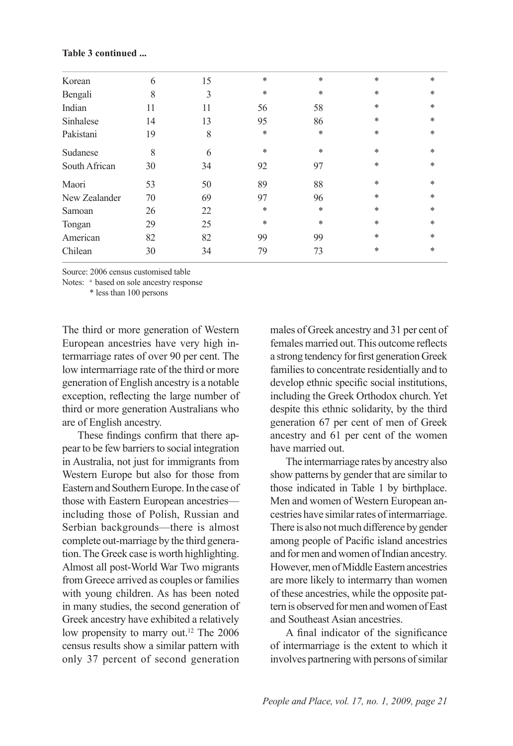| Korean        | 6  | 15 | $\ast$ | $\ast$ | $\ast$ | $\ast$ |
|---------------|----|----|--------|--------|--------|--------|
| Bengali       | 8  | 3  | *      | $\ast$ | $\ast$ | *      |
| Indian        | 11 | 11 | 56     | 58     | $\ast$ | *      |
| Sinhalese     | 14 | 13 | 95     | 86     | $\ast$ | *      |
| Pakistani     | 19 | 8  | *      | *      | $\ast$ | *      |
| Sudanese      | 8  | 6  | $\ast$ | $\ast$ | $\ast$ | *      |
| South African | 30 | 34 | 92     | 97     | $\ast$ | *      |
| Maori         | 53 | 50 | 89     | 88     | $\ast$ | $\ast$ |
| New Zealander | 70 | 69 | 97     | 96     | $\ast$ | *      |
| Samoan        | 26 | 22 | *      | $\ast$ | $\ast$ | *      |
| Tongan        | 29 | 25 | *      | *      | $\ast$ | *      |
| American      | 82 | 82 | 99     | 99     | $\ast$ | *      |
| Chilean       | 30 | 34 | 79     | 73     | $\ast$ | *      |
|               |    |    |        |        |        |        |

#### **Table 3 continued ...**

Source: 2006 census customised table

Notes: <sup>a</sup> based on sole ancestry response

\* less than 100 persons

The third or more generation of Western European ancestries have very high intermarriage rates of over 90 per cent. The low intermarriage rate of the third or more generation of English ancestry is a notable exception, reflecting the large number of third or more generation Australians who are of English ancestry.

These findings confirm that there appear to be few barriers to social integration in Australia, not just for immigrants from Western Europe but also for those from Eastern and Southern Europe. In the case of those with Eastern European ancestries including those of Polish, Russian and Serbian backgrounds—there is almost complete out-marriage by the third generation. The Greek case is worth highlighting. Almost all post-World War Two migrants from Greece arrived as couples or families with young children. As has been noted in many studies, the second generation of Greek ancestry have exhibited a relatively low propensity to marry out.<sup>12</sup> The 2006 census results show a similar pattern with only 37 percent of second generation

males of Greek ancestry and 31 per cent of females married out. This outcome reflects a strong tendency for first generation Greek families to concentrate residentially and to develop ethnic specific social institutions. including the Greek Orthodox church. Yet despite this ethnic solidarity, by the third generation 67 per cent of men of Greek ancestry and 61 per cent of the women have married out.

The intermarriage rates by ancestry also show patterns by gender that are similar to those indicated in Table 1 by birthplace. Men and women of Western European ancestries have similar rates of intermarriage. There is also not much difference by gender among people of Pacific island ancestries and for men and women of Indian ancestry. However, men of Middle Eastern ancestries are more likely to intermarry than women of these ancestries, while the opposite pattern is observed for men and women of East and Southeast Asian ancestries.

A final indicator of the significance of intermarriage is the extent to which it involves partnering with persons of similar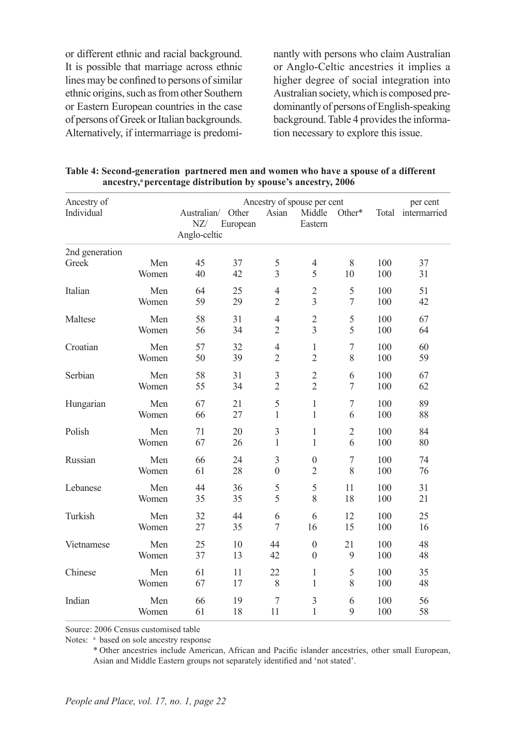or different ethnic and racial background. It is possible that marriage across ethnic lines may be confined to persons of similar ethnic origins, such as from other Southern or Eastern European countries in the case of persons of Greek or Italian backgrounds. Alternatively, if intermarriage is predominantly with persons who claim Australian or Anglo-Celtic ancestries it implies a higher degree of social integration into Australian society, which is composed predominantly of persons of English-speaking background. Table 4 provides the information necessary to explore this issue.

| Ancestry of    |       | Ancestry of spouse per cent<br>per cent |                   |                |                   |                  |     |                    |  |
|----------------|-------|-----------------------------------------|-------------------|----------------|-------------------|------------------|-----|--------------------|--|
| Individual     |       | Australian/<br>NZ/<br>Anglo-celtic      | Other<br>European | Asian          | Middle<br>Eastern | Other*           |     | Total intermarried |  |
| 2nd generation |       |                                         |                   |                |                   |                  |     |                    |  |
| Greek          | Men   | 45                                      | 37                | 5              | $\overline{4}$    | 8                | 100 | 37                 |  |
|                | Women | 40                                      | 42                | 3              | 5                 | 10               | 100 | 31                 |  |
| Italian        | Men   | 64                                      | 25                | $\overline{4}$ | $\mathfrak{2}$    | 5                | 100 | 51                 |  |
|                | Women | 59                                      | 29                | $\overline{c}$ | 3                 | 7                | 100 | 42                 |  |
| Maltese        | Men   | 58                                      | 31                | $\overline{4}$ | $\mathfrak{2}$    | 5                | 100 | 67                 |  |
|                | Women | 56                                      | 34                | $\overline{2}$ | $\overline{3}$    | 5                | 100 | 64                 |  |
| Croatian       | Men   | 57                                      | 32                | 4              | 1                 | $\overline{7}$   | 100 | 60                 |  |
|                | Women | 50                                      | 39                | $\overline{2}$ | $\overline{2}$    | 8                | 100 | 59                 |  |
| Serbian        | Men   | 58                                      | 31                | 3              | $\overline{c}$    | 6                | 100 | 67                 |  |
|                | Women | 55                                      | 34                | $\overline{2}$ | $\overline{2}$    | 7                | 100 | 62                 |  |
| Hungarian      | Men   | 67                                      | 21                | 5              | $\mathbf{1}$      | $\boldsymbol{7}$ | 100 | 89                 |  |
|                | Women | 66                                      | 27                | 1              | $\mathbf{1}$      | 6                | 100 | 88                 |  |
| Polish         | Men   | 71                                      | 20                | 3              | 1                 | $\overline{2}$   | 100 | 84                 |  |
|                | Women | 67                                      | 26                | $\mathbf{1}$   | 1                 | 6                | 100 | 80                 |  |
| Russian        | Men   | 66                                      | 24                | 3              | $\boldsymbol{0}$  | $\boldsymbol{7}$ | 100 | 74                 |  |
|                | Women | 61                                      | 28                | $\theta$       | $\overline{2}$    | 8                | 100 | 76                 |  |
| Lebanese       | Men   | 44                                      | 36                | 5              | 5                 | 11               | 100 | 31                 |  |
|                | Women | 35                                      | 35                | 5              | 8                 | 18               | 100 | 21                 |  |
| Turkish        | Men   | 32                                      | 44                | 6              | 6                 | 12               | 100 | 25                 |  |
|                | Women | 27                                      | 35                | 7              | 16                | 15               | 100 | 16                 |  |
| Vietnamese     | Men   | 25                                      | 10                | 44             | $\boldsymbol{0}$  | 21               | 100 | 48                 |  |
|                | Women | 37                                      | 13                | 42             | $\mathbf{0}$      | 9                | 100 | 48                 |  |
| Chinese        | Men   | 61                                      | 11                | 22             | 1                 | 5                | 100 | 35                 |  |
|                | Women | 67                                      | 17                | 8              | 1                 | 8                | 100 | 48                 |  |
| Indian         | Men   | 66                                      | 19                | 7              | 3                 | 6                | 100 | 56                 |  |
|                | Women | 61                                      | 18                | 11             | 1                 | 9                | 100 | 58                 |  |

| Table 4: Second-generation partnered men and women who have a spouse of a different |
|-------------------------------------------------------------------------------------|
| ancestry, <sup>a</sup> percentage distribution by spouse's ancestry, 2006           |

Source: 2006 Census customised table

Notes: <sup>a</sup> based on sole ancestry response

\* Other ancestries include American, African and Pacific islander ancestries, other small European, Asian and Middle Eastern groups not separately identified and 'not stated'.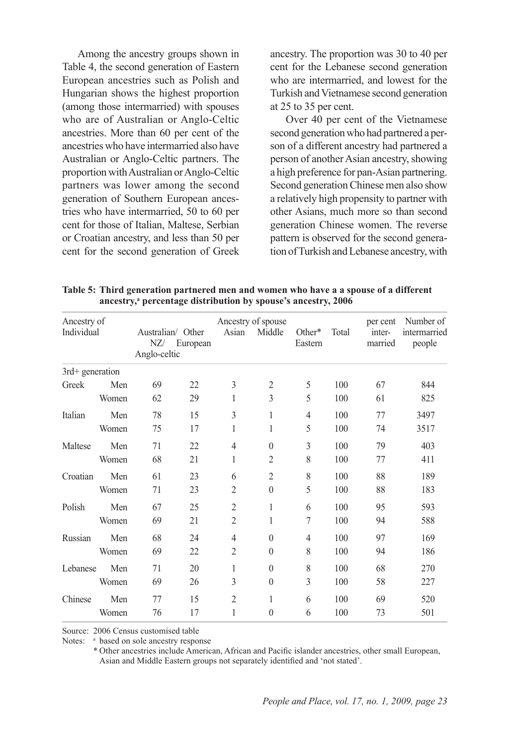Among the ancestry groups shown in Table 4, the second generation of Eastern European ancestries such as Polish and Hungarian shows the highest proportion (among those intermarried) with spouses who are of Australian or Anglo-Celtic ancestries. More than 60 per cent of the ancestries who have intermarried also have Australian or Anglo-Celtic partners. The proportion with Australian or Anglo-Celtic partners was lower among the second generation of Southern European ancestries who have intermarried, 50 to 60 per cent for those of Italian, Maltese, Serbian or Croatian ancestry, and less than 50 per cent for the second generation of Greek ancestry. The proportion was 30 to 40 per cent for the Lebanese second generation who are intermarried, and lowest for the Turkish and Vietnamese second generation at 25 to 35 per cent.

Over 40 per cent of the Vietnamese second generation who had partnered a person of a different ancestry had partnered a person of another Asian ancestry, showing a high preference for pan-Asian partnering. Second generation Chinese men also show a relatively high propensity to partner with other Asians, much more so than second generation Chinese women. The reverse pattern is observed for the second generation of Turkish and Lebanese ancestry, with

| Ancestry of<br>Individual |       | Australian/ Other<br>NZ/<br>Anglo-celtic | European | Asian          | Ancestry of spouse<br>Middle | Other*<br>Eastern | Total | per cent<br>inter-<br>married | Number of<br>intermarried<br>people |
|---------------------------|-------|------------------------------------------|----------|----------------|------------------------------|-------------------|-------|-------------------------------|-------------------------------------|
| 3rd+ generation           |       |                                          |          |                |                              |                   |       |                               |                                     |
| Greek                     | Men   | 69                                       | 22       | 3              | $\overline{2}$               | 5                 | 100   | 67                            | 844                                 |
|                           | Women | 62                                       | 29       | 1              | 3                            | 5                 | 100   | 61                            | 825                                 |
| Italian                   | Men   | 78                                       | 15       | 3              | 1                            | $\overline{4}$    | 100   | 77                            | 3497                                |
|                           | Women | 75                                       | 17       | 1              | 1                            | 5                 | 100   | 74                            | 3517                                |
| Maltese                   | Men   | 71                                       | 22       | $\overline{4}$ | $\theta$                     | 3                 | 100   | 79                            | 403                                 |
|                           | Women | 68                                       | 21       | 1              | $\overline{2}$               | 8                 | 100   | 77                            | 411                                 |
| Croatian                  | Men   | 61                                       | 23       | 6              | $\overline{2}$               | 8                 | 100   | 88                            | 189                                 |
|                           | Women | 71                                       | 23       | $\overline{2}$ | $\mathbf{0}$                 | 5                 | 100   | 88                            | 183                                 |
| Polish                    | Men   | 67                                       | 25       | $\overline{2}$ | 1                            | 6                 | 100   | 95                            | 593                                 |
|                           | Women | 69                                       | 21       | $\overline{2}$ | 1                            | 7                 | 100   | 94                            | 588                                 |
| Russian                   | Men   | 68                                       | 24       | $\overline{4}$ | $\mathbf{0}$                 | $\overline{4}$    | 100   | 97                            | 169                                 |
|                           | Women | 69                                       | 22       | $\overline{2}$ | $\mathbf{0}$                 | 8                 | 100   | 94                            | 186                                 |
| Lebanese                  | Men   | 71                                       | 20       | 1              | $\mathbf{0}$                 | 8                 | 100   | 68                            | 270                                 |
|                           | Women | 69                                       | 26       | 3              | $\mathbf{0}$                 | 3                 | 100   | 58                            | 227                                 |
| Chinese                   | Men   | 77                                       | 15       | $\overline{2}$ | 1                            | 6                 | 100   | 69                            | 520                                 |
|                           | Women | 76                                       | 17       | 1              | $\theta$                     | 6                 | 100   | 73                            | 501                                 |

**Table 5: Third generation partnered men and women who have a a spouse of a different**  ancestry,<sup>a</sup> percentage distribution by spouse's ancestry, 2006

Source: 2006 Census customised table

Notes: <sup>a</sup> based on sole ancestry response

\* Other ancestries include American, African and Pacific islander ancestries, other small European, Asian and Middle Eastern groups not separately identified and 'not stated'.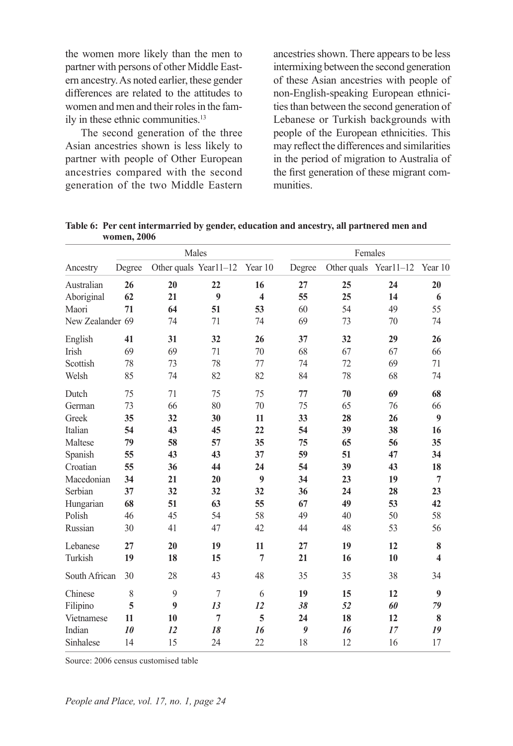the women more likely than the men to partner with persons of other Middle Eastern ancestry. As noted earlier, these gender differences are related to the attitudes to women and men and their roles in the family in these ethnic communities.<sup>13</sup>

The second generation of the three Asian ancestries shown is less likely to partner with people of Other European ancestries compared with the second generation of the two Middle Eastern ancestries shown. There appears to be less intermixing between the second generation of these Asian ancestries with people of non-English-speaking European ethnicities than between the second generation of Lebanese or Turkish backgrounds with people of the European ethnicities. This may reflect the differences and similarities in the period of migration to Australia of the first generation of these migrant communities.

|                  |        | Males                 |                |                         |        | Females |                       |                         |  |
|------------------|--------|-----------------------|----------------|-------------------------|--------|---------|-----------------------|-------------------------|--|
| Ancestry         | Degree | Other quals Year11-12 |                | Year 10                 | Degree |         | Other quals Year11-12 | Year 10                 |  |
| Australian       | 26     | 20                    | 22             | 16                      | 27     | 25      | 24                    | 20                      |  |
| Aboriginal       | 62     | 21                    | 9              | $\overline{\mathbf{4}}$ | 55     | 25      | 14                    | 6                       |  |
| Maori            | 71     | 64                    | 51             | 53                      | 60     | 54      | 49                    | 55                      |  |
| New Zealander 69 |        | 74                    | 71             | 74                      | 69     | 73      | 70                    | 74                      |  |
| English          | 41     | 31                    | 32             | 26                      | 37     | 32      | 29                    | 26                      |  |
| Irish            | 69     | 69                    | 71             | 70                      | 68     | 67      | 67                    | 66                      |  |
| Scottish         | 78     | 73                    | 78             | 77                      | 74     | 72      | 69                    | 71                      |  |
| Welsh            | 85     | 74                    | 82             | 82                      | 84     | 78      | 68                    | 74                      |  |
| Dutch            | 75     | 71                    | 75             | 75                      | 77     | 70      | 69                    | 68                      |  |
| German           | 73     | 66                    | 80             | 70                      | 75     | 65      | 76                    | 66                      |  |
| Greek            | 35     | 32                    | 30             | 11                      | 33     | 28      | 26                    | 9                       |  |
| Italian          | 54     | 43                    | 45             | 22                      | 54     | 39      | 38                    | 16                      |  |
| Maltese          | 79     | 58                    | 57             | 35                      | 75     | 65      | 56                    | 35                      |  |
| Spanish          | 55     | 43                    | 43             | 37                      | 59     | 51      | 47                    | 34                      |  |
| Croatian         | 55     | 36                    | 44             | 24                      | 54     | 39      | 43                    | 18                      |  |
| Macedonian       | 34     | 21                    | 20             | 9                       | 34     | 23      | 19                    | $\overline{7}$          |  |
| Serbian          | 37     | 32                    | 32             | 32                      | 36     | 24      | 28                    | 23                      |  |
| Hungarian        | 68     | 51                    | 63             | 55                      | 67     | 49      | 53                    | 42                      |  |
| Polish           | 46     | 45                    | 54             | 58                      | 49     | 40      | 50                    | 58                      |  |
| Russian          | 30     | 41                    | 47             | 42                      | 44     | 48      | 53                    | 56                      |  |
| Lebanese         | 27     | 20                    | 19             | 11                      | 27     | 19      | 12                    | 8                       |  |
| Turkish          | 19     | 18                    | 15             | 7                       | 21     | 16      | 10                    | $\overline{\mathbf{4}}$ |  |
| South African    | 30     | 28                    | 43             | 48                      | 35     | 35      | 38                    | 34                      |  |
| Chinese          | 8      | $\mathbf{Q}$          | 7              | 6                       | 19     | 15      | 12                    | 9                       |  |
| Filipino         | 5      | 9                     | 13             | 12                      | 38     | 52      | 60                    | 79                      |  |
| Vietnamese       | 11     | 10                    | $\overline{7}$ | 5                       | 24     | 18      | 12                    | 8                       |  |
| Indian           | 10     | 12                    | 18             | 16                      | 9      | 16      | 17                    | 19                      |  |
| Sinhalese        | 14     | 15                    | 24             | 22                      | 18     | 12      | 16                    | 17                      |  |

**Table 6: Per cent intermarried by gender, education and ancestry, all partnered men and women, 2006**

Source: 2006 census customised table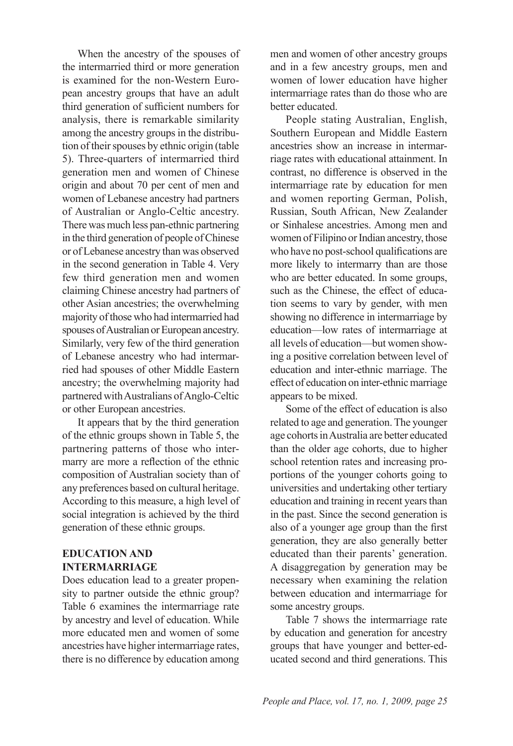When the ancestry of the spouses of the intermarried third or more generation is examined for the non-Western European ancestry groups that have an adult third generation of sufficient numbers for analysis, there is remarkable similarity among the ancestry groups in the distribution of their spouses by ethnic origin (table 5). Three-quarters of intermarried third generation men and women of Chinese origin and about 70 per cent of men and women of Lebanese ancestry had partners of Australian or Anglo-Celtic ancestry. There was much less pan-ethnic partnering in the third generation of people of Chinese or of Lebanese ancestry than was observed in the second generation in Table 4. Very few third generation men and women claiming Chinese ancestry had partners of other Asian ancestries; the overwhelming majority of those who had intermarried had spouses of Australian or European ancestry. Similarly, very few of the third generation of Lebanese ancestry who had intermarried had spouses of other Middle Eastern ancestry; the overwhelming majority had partnered with Australians of Anglo-Celtic or other European ancestries.

It appears that by the third generation of the ethnic groups shown in Table 5, the partnering patterns of those who intermarry are more a reflection of the ethnic composition of Australian society than of any preferences based on cultural heritage. According to this measure, a high level of social integration is achieved by the third generation of these ethnic groups.

# **EDUCATION AND INTERMARRIAGE**

Does education lead to a greater propensity to partner outside the ethnic group? Table 6 examines the intermarriage rate by ancestry and level of education. While more educated men and women of some ancestries have higher intermarriage rates, there is no difference by education among men and women of other ancestry groups and in a few ancestry groups, men and women of lower education have higher intermarriage rates than do those who are better educated.

People stating Australian, English, Southern European and Middle Eastern ancestries show an increase in intermarriage rates with educational attainment. In contrast, no difference is observed in the intermarriage rate by education for men and women reporting German, Polish, Russian, South African, New Zealander or Sinhalese ancestries. Among men and women of Filipino or Indian ancestry, those who have no post-school qualifications are more likely to intermarry than are those who are better educated. In some groups, such as the Chinese, the effect of education seems to vary by gender, with men showing no difference in intermarriage by education—low rates of intermarriage at all levels of education—but women showing a positive correlation between level of education and inter-ethnic marriage. The effect of education on inter-ethnic marriage appears to be mixed.

Some of the effect of education is also related to age and generation. The younger age cohorts in Australia are better educated than the older age cohorts, due to higher school retention rates and increasing proportions of the younger cohorts going to universities and undertaking other tertiary education and training in recent years than in the past. Since the second generation is also of a younger age group than the first generation, they are also generally better educated than their parents' generation. A disaggregation by generation may be necessary when examining the relation between education and intermarriage for some ancestry groups.

Table 7 shows the intermarriage rate by education and generation for ancestry groups that have younger and better-educated second and third generations. This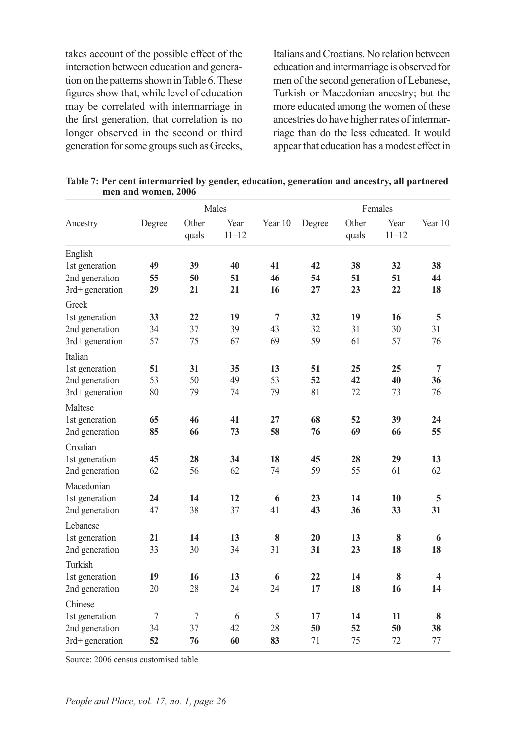takes account of the possible effect of the interaction between education and generation on the patterns shown in Table 6. These figures show that, while level of education may be correlated with intermarriage in the first generation, that correlation is no longer observed in the second or third generation for some groups such as Greeks, Italians and Croatians. No relation between education and intermarriage is observed for men of the second generation of Lebanese, Turkish or Macedonian ancestry; but the more educated among the women of these ancestries do have higher rates of intermarriage than do the less educated. It would appear that education has a modest effect in

|                   | Males  |                |                   |                | Females  |                |                   |                         |
|-------------------|--------|----------------|-------------------|----------------|----------|----------------|-------------------|-------------------------|
| Ancestry          | Degree | Other<br>quals | Year<br>$11 - 12$ | Year 10        | Degree   | Other<br>quals | Year<br>$11 - 12$ | Year 10                 |
| English           |        |                |                   |                |          |                |                   |                         |
| 1st generation    | 49     | 39             | 40                | 41             | 42       | 38             | 32                | 38                      |
| 2nd generation    | 55     | 50             | 51                | 46             | 54       | 51             | 51                | 44                      |
| 3rd+ generation   | 29     | 21             | 21                | 16             | 27       | 23             | 22                | 18                      |
| Greek             |        |                |                   |                |          |                |                   |                         |
| 1st generation    | 33     | 22             | 19                | $\overline{7}$ | 32       | 19             | 16                | 5                       |
| 2nd generation    | 34     | 37             | 39                | 43             | 32       | 31             | 30                | 31                      |
| 3rd+ generation   | 57     | 75             | 67                | 69             | 59       | 61             | 57                | 76                      |
| Italian           |        |                |                   |                |          |                |                   |                         |
| 1st generation    | 51     | 31             | 35                | 13             | 51       | 25             | 25                | $\overline{7}$          |
| 2nd generation    | 53     | 50             | 49                | 53             | 52       | 42             | 40                | 36                      |
| 3rd+ generation   | 80     | 79             | 74                | 79             | 81       | 72             | 73                | 76                      |
| Maltese           |        |                |                   |                |          |                |                   |                         |
| 1st generation    | 65     | 46             | 41                | 27             | 68       | 52             | 39                | 24                      |
| 2nd generation    | 85     | 66             | 73                | 58             | 76       | 69             | 66                | 55                      |
| Croatian          |        |                |                   |                |          |                |                   |                         |
| 1st generation    | 45     | 28             | 34                | 18             | 45       | 28             | 29                | 13                      |
| 2nd generation    | 62     | 56             | 62                | 74             | 59       | 55             | 61                | 62                      |
| Macedonian        |        |                |                   |                |          |                |                   |                         |
| 1st generation    | 24     | 14             | 12                | 6              | 23       | 14             | 10                | 5                       |
| 2nd generation    | 47     | 38             | 37                | 41             | 43       | 36             | 33                | 31                      |
| Lebanese          |        |                |                   |                |          |                |                   |                         |
| 1st generation    | 21     | 14             | 13                | 8              | 20       | 13             | $\bf 8$           | 6                       |
| 2nd generation    | 33     | 30             | 34                | 31             | 31       | 23             | 18                | 18                      |
|                   |        |                |                   |                |          |                |                   |                         |
| Turkish           |        |                |                   |                |          |                |                   |                         |
| 1st generation    | 19     | 16             | 13<br>24          | 6<br>24        | 22<br>17 | 14<br>18       | 8<br>16           | $\overline{\mathbf{4}}$ |
| 2nd generation    | 20     | 28             |                   |                |          |                |                   | 14                      |
| Chinese           |        |                |                   |                |          |                |                   |                         |
| 1st generation    | 7      | 7              | 6                 | 5              | 17       | 14             | 11                | 8                       |
| 2nd generation    | 34     | 37             | 42                | 28             | 50       | 52             | 50                | 38                      |
| $3rd+$ generation | 52     | 76             | 60                | 83             | 71       | 75             | 72                | 77                      |

**Table 7: Per cent intermarried by gender, education, generation and ancestry, all partnered men and women, 2006**

Source: 2006 census customised table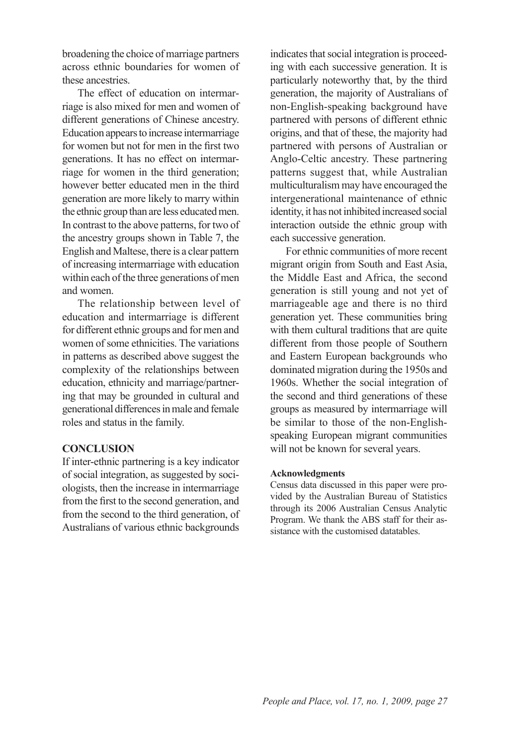broadening the choice of marriage partners across ethnic boundaries for women of these ancestries.

The effect of education on intermarriage is also mixed for men and women of different generations of Chinese ancestry. Education appears to increase intermarriage for women but not for men in the first two generations. It has no effect on intermarriage for women in the third generation; however better educated men in the third generation are more likely to marry within the ethnic group than are less educated men. In contrast to the above patterns, for two of the ancestry groups shown in Table 7, the English and Maltese, there is a clear pattern of increasing intermarriage with education within each of the three generations of men and women.

The relationship between level of education and intermarriage is different for different ethnic groups and for men and women of some ethnicities. The variations in patterns as described above suggest the complexity of the relationships between education, ethnicity and marriage/partnering that may be grounded in cultural and generational differences in male and female roles and status in the family.

### **CONCLUSION**

If inter-ethnic partnering is a key indicator of social integration, as suggested by sociologists, then the increase in intermarriage from the first to the second generation, and from the second to the third generation, of Australians of various ethnic backgrounds

indicates that social integration is proceeding with each successive generation. It is particularly noteworthy that, by the third generation, the majority of Australians of non-English-speaking background have partnered with persons of different ethnic origins, and that of these, the majority had partnered with persons of Australian or Anglo-Celtic ancestry. These partnering patterns suggest that, while Australian multiculturalism may have encouraged the intergenerational maintenance of ethnic identity, it has not inhibited increased social interaction outside the ethnic group with each successive generation.

For ethnic communities of more recent migrant origin from South and East Asia, the Middle East and Africa, the second generation is still young and not yet of marriageable age and there is no third generation yet. These communities bring with them cultural traditions that are quite different from those people of Southern and Eastern European backgrounds who dominated migration during the 1950s and 1960s. Whether the social integration of the second and third generations of these groups as measured by intermarriage will be similar to those of the non-Englishspeaking European migrant communities will not be known for several years.

### **Acknowledgments**

Census data discussed in this paper were provided by the Australian Bureau of Statistics through its 2006 Australian Census Analytic Program. We thank the ABS staff for their assistance with the customised datatables.